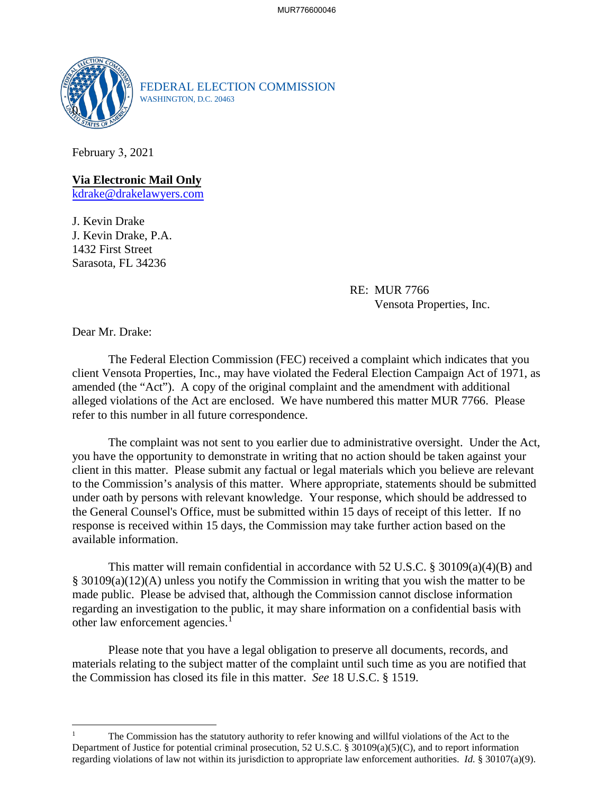

FEDERAL ELECTION COMMISSION WASHINGTON, D.C. 20463

February 3, 2021

**Via Electronic Mail Only**  [kdrake@drakelawyers.com](mailto:kdrake@drakelawyers.com)

J. Kevin Drake J. Kevin Drake, P.A. 1432 First Street Sarasota, FL 34236

> RE: MUR 7766 Vensota Properties, Inc.

Dear Mr. Drake:

The Federal Election Commission (FEC) received a complaint which indicates that you client Vensota Properties, Inc., may have violated the Federal Election Campaign Act of 1971, as amended (the "Act"). A copy of the original complaint and the amendment with additional alleged violations of the Act are enclosed. We have numbered this matter MUR 7766. Please refer to this number in all future correspondence.

The complaint was not sent to you earlier due to administrative oversight. Under the Act, you have the opportunity to demonstrate in writing that no action should be taken against your client in this matter. Please submit any factual or legal materials which you believe are relevant to the Commission's analysis of this matter. Where appropriate, statements should be submitted under oath by persons with relevant knowledge. Your response, which should be addressed to the General Counsel's Office, must be submitted within 15 days of receipt of this letter. If no response is received within 15 days, the Commission may take further action based on the available information.

This matter will remain confidential in accordance with 52 U.S.C. § 30109(a)(4)(B) and § 30109(a)(12)(A) unless you notify the Commission in writing that you wish the matter to be made public. Please be advised that, although the Commission cannot disclose information regarding an investigation to the public, it may share information on a confidential basis with other law enforcement agencies.<sup>1</sup>

Please note that you have a legal obligation to preserve all documents, records, and materials relating to the subject matter of the complaint until such time as you are notified that the Commission has closed its file in this matter. *See* 18 U.S.C. § 1519.

 The Commission has the statutory authority to refer knowing and willful violations of the Act to the regarding violations of law not within its jurisdiction to appropriate law enforcement authorities. *Id.* § 30107(a)(9). Department of Justice for potential criminal prosecution, 52 U.S.C. § 30109(a)(5)(C), and to report information 1